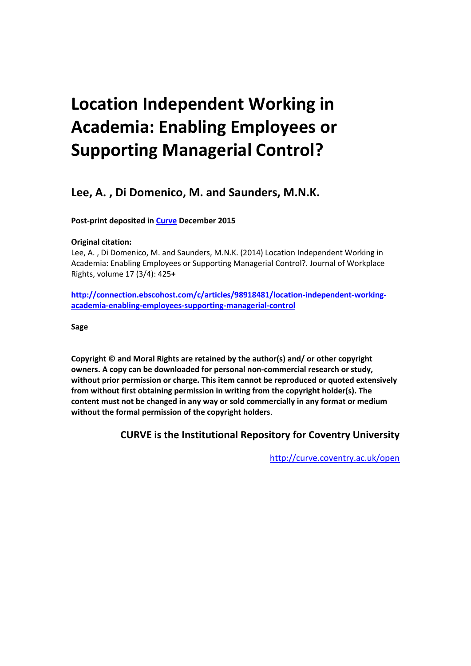# **Location Independent Working in Academia: Enabling Employees or Supporting Managerial Control?**

# **Lee, A. , Di Domenico, M. and Saunders, M.N.K.**

**Post-print deposited in [Curve](http://curve.coventry.ac.uk/open) December 2015**

#### **Original citation:**

Lee, A. , Di Domenico, M. and Saunders, M.N.K. (2014) Location Independent Working in Academia: Enabling Employees or Supporting Managerial Control?. Journal of Workplace Rights, volume 17 (3/4): 425**+**

**[http://connection.ebscohost.com/c/articles/98918481/location-independent-working](http://connection.ebscohost.com/c/articles/98918481/location-independent-working-academia-enabling-employees-supporting-managerial-control)[academia-enabling-employees-supporting-managerial-control](http://connection.ebscohost.com/c/articles/98918481/location-independent-working-academia-enabling-employees-supporting-managerial-control)**

**Sage**

**Copyright © and Moral Rights are retained by the author(s) and/ or other copyright owners. A copy can be downloaded for personal non-commercial research or study, without prior permission or charge. This item cannot be reproduced or quoted extensively from without first obtaining permission in writing from the copyright holder(s). The content must not be changed in any way or sold commercially in any format or medium without the formal permission of the copyright holders**.

**CURVE is the Institutional Repository for Coventry University**

<http://curve.coventry.ac.uk/open>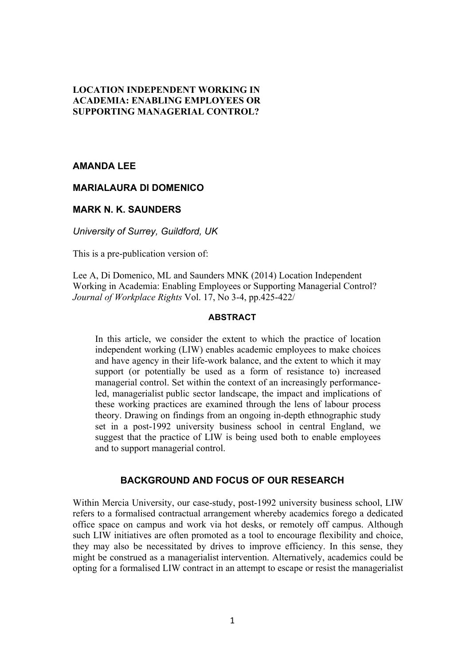## **LOCATION INDEPENDENT WORKING IN ACADEMIA: ENABLING EMPLOYEES OR SUPPORTING MANAGERIAL CONTROL?**

# **AMANDA LEE**

# **MARIALAURA DI DOMENICO**

# **MARK N. K. SAUNDERS**

*University of Surrey, Guildford, UK*

This is a pre-publication version of:

Lee A, Di Domenico, ML and Saunders MNK (2014) Location Independent Working in Academia: Enabling Employees or Supporting Managerial Control? *Journal of Workplace Rights* Vol. 17, No 3-4, pp.425-422/

#### **ABSTRACT**

In this article, we consider the extent to which the practice of location independent working (LIW) enables academic employees to make choices and have agency in their life-work balance, and the extent to which it may support (or potentially be used as a form of resistance to) increased managerial control. Set within the context of an increasingly performanceled, managerialist public sector landscape, the impact and implications of these working practices are examined through the lens of labour process theory. Drawing on findings from an ongoing in-depth ethnographic study set in a post-1992 university business school in central England, we suggest that the practice of LIW is being used both to enable employees and to support managerial control.

# **BACKGROUND AND FOCUS OF OUR RESEARCH**

Within Mercia University, our case-study, post-1992 university business school, LIW refers to a formalised contractual arrangement whereby academics forego a dedicated office space on campus and work via hot desks, or remotely off campus. Although such LIW initiatives are often promoted as a tool to encourage flexibility and choice, they may also be necessitated by drives to improve efficiency. In this sense, they might be construed as a managerialist intervention. Alternatively, academics could be opting for a formalised LIW contract in an attempt to escape or resist the managerialist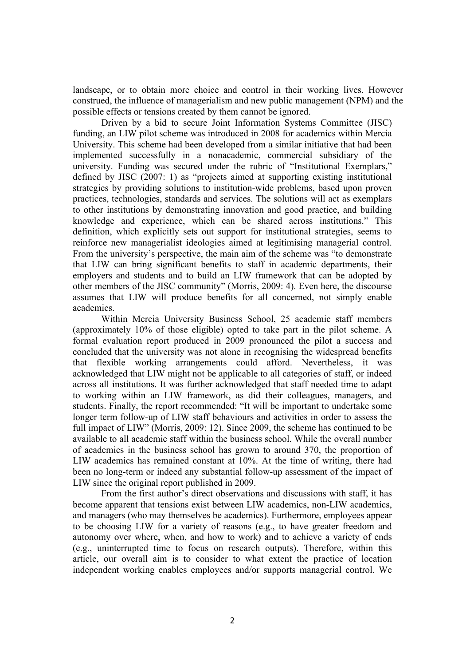landscape, or to obtain more choice and control in their working lives. However construed, the influence of managerialism and new public management (NPM) and the possible effects or tensions created by them cannot be ignored.

Driven by a bid to secure Joint Information Systems Committee (JISC) funding, an LIW pilot scheme was introduced in 2008 for academics within Mercia University. This scheme had been developed from a similar initiative that had been implemented successfully in a nonacademic, commercial subsidiary of the university. Funding was secured under the rubric of "Institutional Exemplars," defined by JISC (2007: 1) as "projects aimed at supporting existing institutional strategies by providing solutions to institution-wide problems, based upon proven practices, technologies, standards and services. The solutions will act as exemplars to other institutions by demonstrating innovation and good practice, and building knowledge and experience, which can be shared across institutions." This definition, which explicitly sets out support for institutional strategies, seems to reinforce new managerialist ideologies aimed at legitimising managerial control. From the university's perspective, the main aim of the scheme was "to demonstrate that LIW can bring significant benefits to staff in academic departments, their employers and students and to build an LIW framework that can be adopted by other members of the JISC community" (Morris, 2009: 4). Even here, the discourse assumes that LIW will produce benefits for all concerned, not simply enable academics.

Within Mercia University Business School, 25 academic staff members (approximately 10% of those eligible) opted to take part in the pilot scheme. A formal evaluation report produced in 2009 pronounced the pilot a success and concluded that the university was not alone in recognising the widespread benefits that flexible working arrangements could afford. Nevertheless, it was acknowledged that LIW might not be applicable to all categories of staff, or indeed across all institutions. It was further acknowledged that staff needed time to adapt to working within an LIW framework, as did their colleagues, managers, and students. Finally, the report recommended: "It will be important to undertake some longer term follow-up of LIW staff behaviours and activities in order to assess the full impact of LIW" (Morris, 2009: 12). Since 2009, the scheme has continued to be available to all academic staff within the business school. While the overall number of academics in the business school has grown to around 370, the proportion of LIW academics has remained constant at 10%. At the time of writing, there had been no long-term or indeed any substantial follow-up assessment of the impact of LIW since the original report published in 2009.

From the first author's direct observations and discussions with staff, it has become apparent that tensions exist between LIW academics, non-LIW academics, and managers (who may themselves be academics). Furthermore, employees appear to be choosing LIW for a variety of reasons (e.g., to have greater freedom and autonomy over where, when, and how to work) and to achieve a variety of ends (e.g., uninterrupted time to focus on research outputs). Therefore, within this article, our overall aim is to consider to what extent the practice of location independent working enables employees and/or supports managerial control. We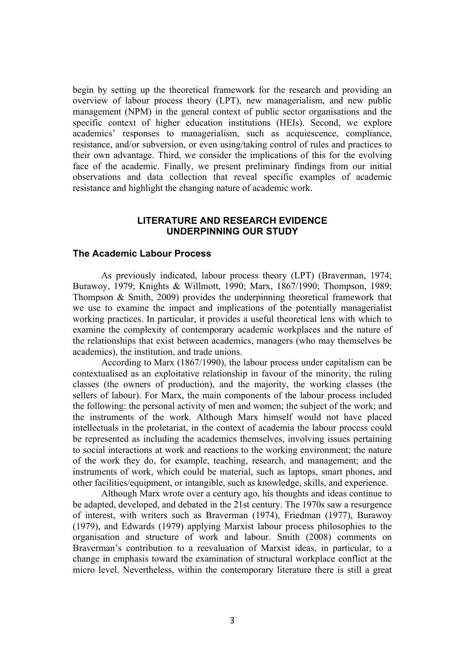begin by setting up the theoretical framework for the research and providing an overview of labour process theory (LPT), new managerialism, and new public management (NPM) in the general context of public sector organisations and the specific context of higher education institutions (HEIs). Second, we explore academics' responses to managerialism, such as acquiescence, compliance, resistance, and/or subversion, or even using/taking control of rules and practices to their own advantage. Third, we consider the implications of this for the evolving face of the academic. Finally, we present preliminary findings from our initial observations and data collection that reveal specific examples of academic resistance and highlight the changing nature of academic work.

# **LITERATURE AND RESEARCH EVIDENCE UNDERPINNING OUR STUDY**

#### **The Academic Labour Process**

As previously indicated, labour process theory (LPT) (Braverman, 1974; Burawoy, 1979; Knights & Willmott, 1990; Marx, 1867/1990; Thompson, 1989; Thompson & Smith, 2009) provides the underpinning theoretical framework that we use to examine the impact and implications of the potentially managerialist working practices. In particular, it provides a useful theoretical lens with which to examine the complexity of contemporary academic workplaces and the nature of the relationships that exist between academics, managers (who may themselves be academics), the institution, and trade unions.

According to Marx (1867/1990), the labour process under capitalism can be contextualised as an exploitative relationship in favour of the minority, the ruling classes (the owners of production), and the majority, the working classes (the sellers of labour). For Marx, the main components of the labour process included the following: the personal activity of men and women; the subject of the work; and the instruments of the work. Although Marx himself would not have placed intellectuals in the proletariat, in the context of academia the labour process could be represented as including the academics themselves, involving issues pertaining to social interactions at work and reactions to the working environment; the nature of the work they do, for example, teaching, research, and management; and the instruments of work, which could be material, such as laptops, smart phones, and other facilities/equipment, or intangible, such as knowledge, skills, and experience.

Although Marx wrote over a century ago, his thoughts and ideas continue to be adapted, developed, and debated in the 21st century. The 1970s saw a resurgence of interest, with writers such as Braverman (1974), Friedman (1977), Burawoy (1979), and Edwards (1979) applying Marxist labour process philosophies to the organisation and structure of work and labour. Smith (2008) comments on Braverman's contribution to a reevaluation of Marxist ideas, in particular, to a change in emphasis toward the examination of structural workplace conflict at the micro level. Nevertheless, within the contemporary literature there is still a great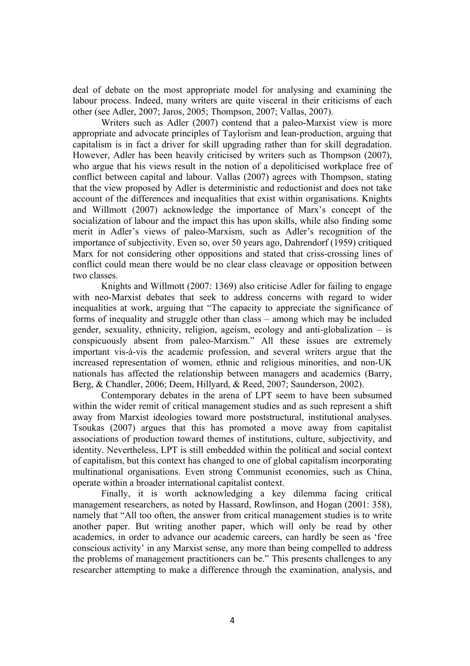deal of debate on the most appropriate model for analysing and examining the labour process. Indeed, many writers are quite visceral in their criticisms of each other (see Adler, 2007; Jaros, 2005; Thompson, 2007; Vallas, 2007).

Writers such as Adler (2007) contend that a paleo-Marxist view is more appropriate and advocate principles of Taylorism and lean-production, arguing that capitalism is in fact a driver for skill upgrading rather than for skill degradation. However, Adler has been heavily criticised by writers such as Thompson (2007), who argue that his views result in the notion of a depoliticised workplace free of conflict between capital and labour. Vallas (2007) agrees with Thompson, stating that the view proposed by Adler is deterministic and reductionist and does not take account of the differences and inequalities that exist within organisations. Knights and Willmott (2007) acknowledge the importance of Marx's concept of the socialization of labour and the impact this has upon skills, while also finding some merit in Adler's views of paleo-Marxism, such as Adler's recognition of the importance of subjectivity. Even so, over 50 years ago, Dahrendorf (1959) critiqued Marx for not considering other oppositions and stated that criss-crossing lines of conflict could mean there would be no clear class cleavage or opposition between two classes.

Knights and Willmott (2007: 1369) also criticise Adler for failing to engage with neo-Marxist debates that seek to address concerns with regard to wider inequalities at work, arguing that "The capacity to appreciate the significance of forms of inequality and struggle other than class – among which may be included gender, sexuality, ethnicity, religion, ageism, ecology and anti-globalization – is conspicuously absent from paleo-Marxism." All these issues are extremely important vis-à-vis the academic profession, and several writers argue that the increased representation of women, ethnic and religious minorities, and non-UK nationals has affected the relationship between managers and academics (Barry, Berg, & Chandler, 2006; Deem, Hillyard, & Reed, 2007; Saunderson, 2002).

Contemporary debates in the arena of LPT seem to have been subsumed within the wider remit of critical management studies and as such represent a shift away from Marxist ideologies toward more poststructural, institutional analyses. Tsoukas (2007) argues that this has promoted a move away from capitalist associations of production toward themes of institutions, culture, subjectivity, and identity. Nevertheless, LPT is still embedded within the political and social context of capitalism, but this context has changed to one of global capitalism incorporating multinational organisations. Even strong Communist economies, such as China, operate within a broader international capitalist context.

Finally, it is worth acknowledging a key dilemma facing critical management researchers, as noted by Hassard, Rowlinson, and Hogan (2001: 358), namely that "All too often, the answer from critical management studies is to write another paper. But writing another paper, which will only be read by other academics, in order to advance our academic careers, can hardly be seen as 'free conscious activity' in any Marxist sense, any more than being compelled to address the problems of management practitioners can be." This presents challenges to any researcher attempting to make a difference through the examination, analysis, and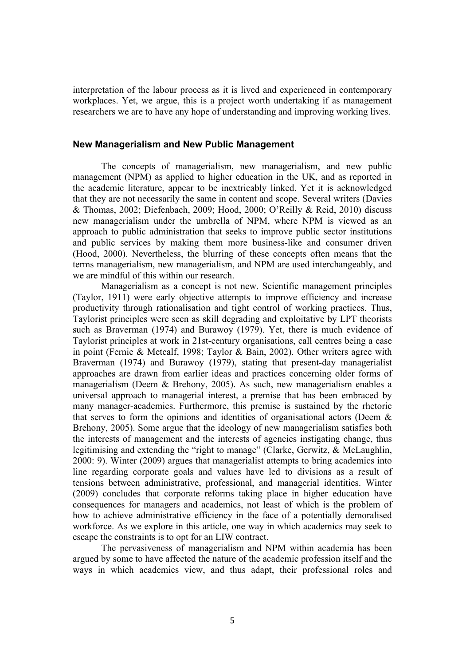interpretation of the labour process as it is lived and experienced in contemporary workplaces. Yet, we argue, this is a project worth undertaking if as management researchers we are to have any hope of understanding and improving working lives.

#### **New Managerialism and New Public Management**

The concepts of managerialism, new managerialism, and new public management (NPM) as applied to higher education in the UK, and as reported in the academic literature, appear to be inextricably linked. Yet it is acknowledged that they are not necessarily the same in content and scope. Several writers (Davies & Thomas, 2002; Diefenbach, 2009; Hood, 2000; O'Reilly & Reid, 2010) discuss new managerialism under the umbrella of NPM, where NPM is viewed as an approach to public administration that seeks to improve public sector institutions and public services by making them more business-like and consumer driven (Hood, 2000). Nevertheless, the blurring of these concepts often means that the terms managerialism, new managerialism, and NPM are used interchangeably, and we are mindful of this within our research.

Managerialism as a concept is not new. Scientific management principles (Taylor, 1911) were early objective attempts to improve efficiency and increase productivity through rationalisation and tight control of working practices. Thus, Taylorist principles were seen as skill degrading and exploitative by LPT theorists such as Braverman (1974) and Burawoy (1979). Yet, there is much evidence of Taylorist principles at work in 21st-century organisations, call centres being a case in point (Fernie & Metcalf, 1998; Taylor & Bain, 2002). Other writers agree with Braverman (1974) and Burawoy (1979), stating that present-day managerialist approaches are drawn from earlier ideas and practices concerning older forms of managerialism (Deem & Brehony, 2005). As such, new managerialism enables a universal approach to managerial interest, a premise that has been embraced by many manager-academics. Furthermore, this premise is sustained by the rhetoric that serves to form the opinions and identities of organisational actors (Deem  $\&$ Brehony, 2005). Some argue that the ideology of new managerialism satisfies both the interests of management and the interests of agencies instigating change, thus legitimising and extending the "right to manage" (Clarke, Gerwitz, & McLaughlin, 2000: 9). Winter (2009) argues that managerialist attempts to bring academics into line regarding corporate goals and values have led to divisions as a result of tensions between administrative, professional, and managerial identities. Winter (2009) concludes that corporate reforms taking place in higher education have consequences for managers and academics, not least of which is the problem of how to achieve administrative efficiency in the face of a potentially demoralised workforce. As we explore in this article, one way in which academics may seek to escape the constraints is to opt for an LIW contract.

The pervasiveness of managerialism and NPM within academia has been argued by some to have affected the nature of the academic profession itself and the ways in which academics view, and thus adapt, their professional roles and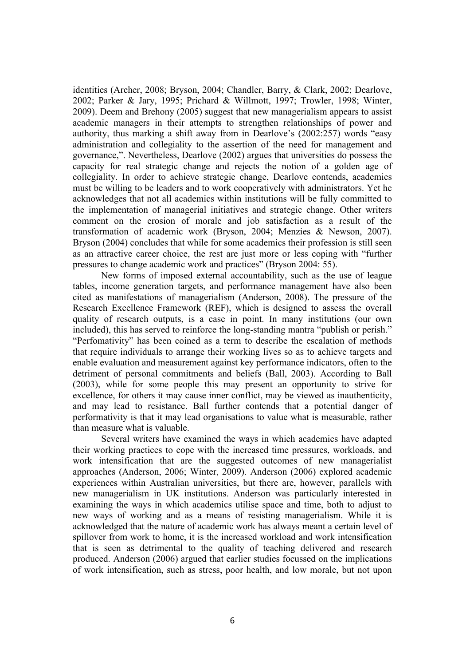identities (Archer, 2008; Bryson, 2004; Chandler, Barry, & Clark, 2002; Dearlove, 2002; Parker & Jary, 1995; Prichard & Willmott, 1997; Trowler, 1998; Winter, 2009). Deem and Brehony (2005) suggest that new managerialism appears to assist academic managers in their attempts to strengthen relationships of power and authority, thus marking a shift away from in Dearlove's (2002:257) words "easy administration and collegiality to the assertion of the need for management and governance,". Nevertheless, Dearlove (2002) argues that universities do possess the capacity for real strategic change and rejects the notion of a golden age of collegiality. In order to achieve strategic change, Dearlove contends, academics must be willing to be leaders and to work cooperatively with administrators. Yet he acknowledges that not all academics within institutions will be fully committed to the implementation of managerial initiatives and strategic change. Other writers comment on the erosion of morale and job satisfaction as a result of the transformation of academic work (Bryson, 2004; Menzies & Newson, 2007). Bryson (2004) concludes that while for some academics their profession is still seen as an attractive career choice, the rest are just more or less coping with "further pressures to change academic work and practices" (Bryson 2004: 55).

New forms of imposed external accountability, such as the use of league tables, income generation targets, and performance management have also been cited as manifestations of managerialism (Anderson, 2008). The pressure of the Research Excellence Framework (REF), which is designed to assess the overall quality of research outputs, is a case in point. In many institutions (our own included), this has served to reinforce the long-standing mantra "publish or perish." "Perfomativity" has been coined as a term to describe the escalation of methods that require individuals to arrange their working lives so as to achieve targets and enable evaluation and measurement against key performance indicators, often to the detriment of personal commitments and beliefs (Ball, 2003). According to Ball (2003), while for some people this may present an opportunity to strive for excellence, for others it may cause inner conflict, may be viewed as inauthenticity, and may lead to resistance. Ball further contends that a potential danger of performativity is that it may lead organisations to value what is measurable, rather than measure what is valuable.

Several writers have examined the ways in which academics have adapted their working practices to cope with the increased time pressures, workloads, and work intensification that are the suggested outcomes of new managerialist approaches (Anderson, 2006; Winter, 2009). Anderson (2006) explored academic experiences within Australian universities, but there are, however, parallels with new managerialism in UK institutions. Anderson was particularly interested in examining the ways in which academics utilise space and time, both to adjust to new ways of working and as a means of resisting managerialism. While it is acknowledged that the nature of academic work has always meant a certain level of spillover from work to home, it is the increased workload and work intensification that is seen as detrimental to the quality of teaching delivered and research produced. Anderson (2006) argued that earlier studies focussed on the implications of work intensification, such as stress, poor health, and low morale, but not upon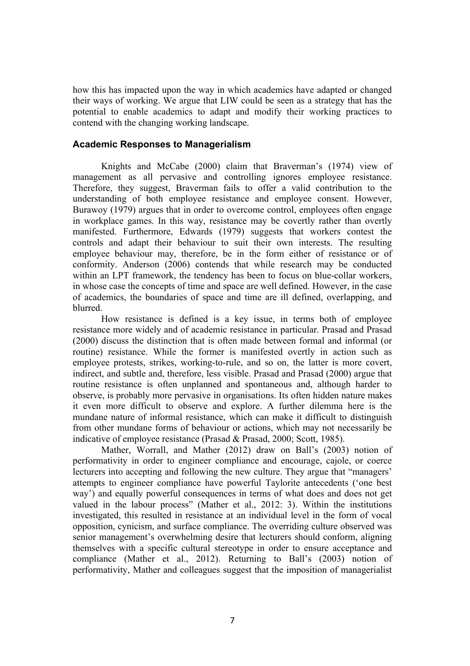how this has impacted upon the way in which academics have adapted or changed their ways of working. We argue that LIW could be seen as a strategy that has the potential to enable academics to adapt and modify their working practices to contend with the changing working landscape.

#### **Academic Responses to Managerialism**

Knights and McCabe (2000) claim that Braverman's (1974) view of management as all pervasive and controlling ignores employee resistance. Therefore, they suggest, Braverman fails to offer a valid contribution to the understanding of both employee resistance and employee consent. However, Burawoy (1979) argues that in order to overcome control, employees often engage in workplace games. In this way, resistance may be covertly rather than overtly manifested. Furthermore, Edwards (1979) suggests that workers contest the controls and adapt their behaviour to suit their own interests. The resulting employee behaviour may, therefore, be in the form either of resistance or of conformity. Anderson (2006) contends that while research may be conducted within an LPT framework, the tendency has been to focus on blue-collar workers, in whose case the concepts of time and space are well defined. However, in the case of academics, the boundaries of space and time are ill defined, overlapping, and blurred.

How resistance is defined is a key issue, in terms both of employee resistance more widely and of academic resistance in particular. Prasad and Prasad (2000) discuss the distinction that is often made between formal and informal (or routine) resistance. While the former is manifested overtly in action such as employee protests, strikes, working-to-rule, and so on, the latter is more covert, indirect, and subtle and, therefore, less visible. Prasad and Prasad (2000) argue that routine resistance is often unplanned and spontaneous and, although harder to observe, is probably more pervasive in organisations. Its often hidden nature makes it even more difficult to observe and explore. A further dilemma here is the mundane nature of informal resistance, which can make it difficult to distinguish from other mundane forms of behaviour or actions, which may not necessarily be indicative of employee resistance (Prasad & Prasad, 2000; Scott, 1985).

Mather, Worrall, and Mather (2012) draw on Ball's (2003) notion of performativity in order to engineer compliance and encourage, cajole, or coerce lecturers into accepting and following the new culture. They argue that "managers' attempts to engineer compliance have powerful Taylorite antecedents ('one best way') and equally powerful consequences in terms of what does and does not get valued in the labour process" (Mather et al., 2012: 3). Within the institutions investigated, this resulted in resistance at an individual level in the form of vocal opposition, cynicism, and surface compliance. The overriding culture observed was senior management's overwhelming desire that lecturers should conform, aligning themselves with a specific cultural stereotype in order to ensure acceptance and compliance (Mather et al., 2012). Returning to Ball's (2003) notion of performativity, Mather and colleagues suggest that the imposition of managerialist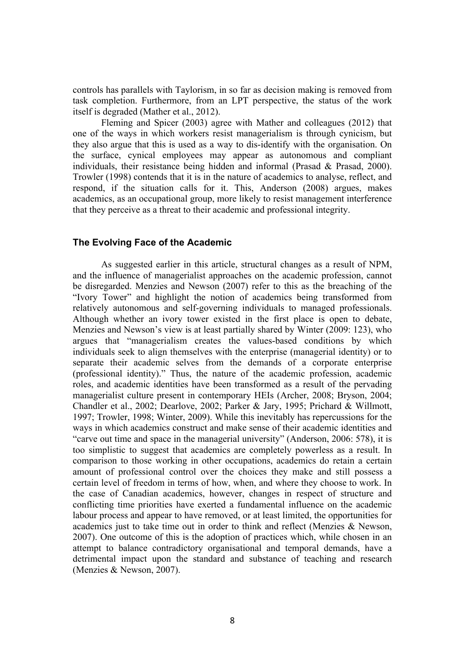controls has parallels with Taylorism, in so far as decision making is removed from task completion. Furthermore, from an LPT perspective, the status of the work itself is degraded (Mather et al., 2012).

Fleming and Spicer (2003) agree with Mather and colleagues (2012) that one of the ways in which workers resist managerialism is through cynicism, but they also argue that this is used as a way to dis-identify with the organisation. On the surface, cynical employees may appear as autonomous and compliant individuals, their resistance being hidden and informal (Prasad & Prasad, 2000). Trowler (1998) contends that it is in the nature of academics to analyse, reflect, and respond, if the situation calls for it. This, Anderson (2008) argues, makes academics, as an occupational group, more likely to resist management interference that they perceive as a threat to their academic and professional integrity.

#### **The Evolving Face of the Academic**

As suggested earlier in this article, structural changes as a result of NPM, and the influence of managerialist approaches on the academic profession, cannot be disregarded. Menzies and Newson (2007) refer to this as the breaching of the "Ivory Tower" and highlight the notion of academics being transformed from relatively autonomous and self-governing individuals to managed professionals. Although whether an ivory tower existed in the first place is open to debate, Menzies and Newson's view is at least partially shared by Winter (2009: 123), who argues that "managerialism creates the values-based conditions by which individuals seek to align themselves with the enterprise (managerial identity) or to separate their academic selves from the demands of a corporate enterprise (professional identity)." Thus, the nature of the academic profession, academic roles, and academic identities have been transformed as a result of the pervading managerialist culture present in contemporary HEIs (Archer, 2008; Bryson, 2004; Chandler et al., 2002; Dearlove, 2002; Parker & Jary, 1995; Prichard & Willmott, 1997; Trowler, 1998; Winter, 2009). While this inevitably has repercussions for the ways in which academics construct and make sense of their academic identities and "carve out time and space in the managerial university" (Anderson, 2006: 578), it is too simplistic to suggest that academics are completely powerless as a result. In comparison to those working in other occupations, academics do retain a certain amount of professional control over the choices they make and still possess a certain level of freedom in terms of how, when, and where they choose to work. In the case of Canadian academics, however, changes in respect of structure and conflicting time priorities have exerted a fundamental influence on the academic labour process and appear to have removed, or at least limited, the opportunities for academics just to take time out in order to think and reflect (Menzies & Newson, 2007). One outcome of this is the adoption of practices which, while chosen in an attempt to balance contradictory organisational and temporal demands, have a detrimental impact upon the standard and substance of teaching and research (Menzies & Newson, 2007).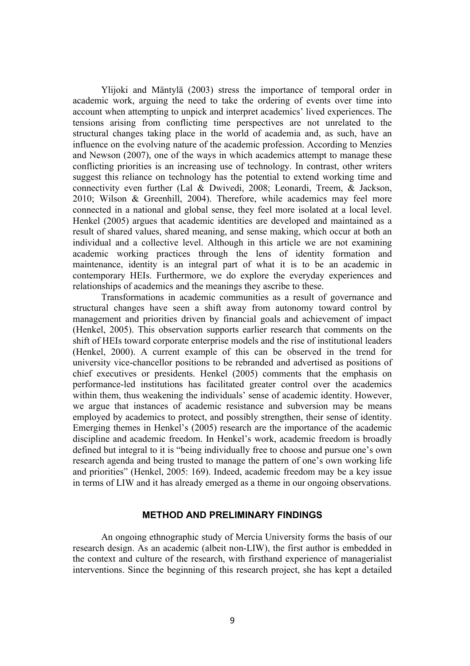Ylijoki and Mäntylä (2003) stress the importance of temporal order in academic work, arguing the need to take the ordering of events over time into account when attempting to unpick and interpret academics' lived experiences. The tensions arising from conflicting time perspectives are not unrelated to the structural changes taking place in the world of academia and, as such, have an influence on the evolving nature of the academic profession. According to Menzies and Newson (2007), one of the ways in which academics attempt to manage these conflicting priorities is an increasing use of technology. In contrast, other writers suggest this reliance on technology has the potential to extend working time and connectivity even further (Lal & Dwivedi, 2008; Leonardi, Treem, & Jackson, 2010; Wilson & Greenhill, 2004). Therefore, while academics may feel more connected in a national and global sense, they feel more isolated at a local level. Henkel (2005) argues that academic identities are developed and maintained as a result of shared values, shared meaning, and sense making, which occur at both an individual and a collective level. Although in this article we are not examining academic working practices through the lens of identity formation and maintenance, identity is an integral part of what it is to be an academic in contemporary HEIs. Furthermore, we do explore the everyday experiences and relationships of academics and the meanings they ascribe to these.

Transformations in academic communities as a result of governance and structural changes have seen a shift away from autonomy toward control by management and priorities driven by financial goals and achievement of impact (Henkel, 2005). This observation supports earlier research that comments on the shift of HEIs toward corporate enterprise models and the rise of institutional leaders (Henkel, 2000). A current example of this can be observed in the trend for university vice-chancellor positions to be rebranded and advertised as positions of chief executives or presidents. Henkel (2005) comments that the emphasis on performance-led institutions has facilitated greater control over the academics within them, thus weakening the individuals' sense of academic identity. However, we argue that instances of academic resistance and subversion may be means employed by academics to protect, and possibly strengthen, their sense of identity. Emerging themes in Henkel's (2005) research are the importance of the academic discipline and academic freedom. In Henkel's work, academic freedom is broadly defined but integral to it is "being individually free to choose and pursue one's own research agenda and being trusted to manage the pattern of one's own working life and priorities" (Henkel, 2005: 169). Indeed, academic freedom may be a key issue in terms of LIW and it has already emerged as a theme in our ongoing observations.

# **METHOD AND PRELIMINARY FINDINGS**

An ongoing ethnographic study of Mercia University forms the basis of our research design. As an academic (albeit non-LIW), the first author is embedded in the context and culture of the research, with firsthand experience of managerialist interventions. Since the beginning of this research project, she has kept a detailed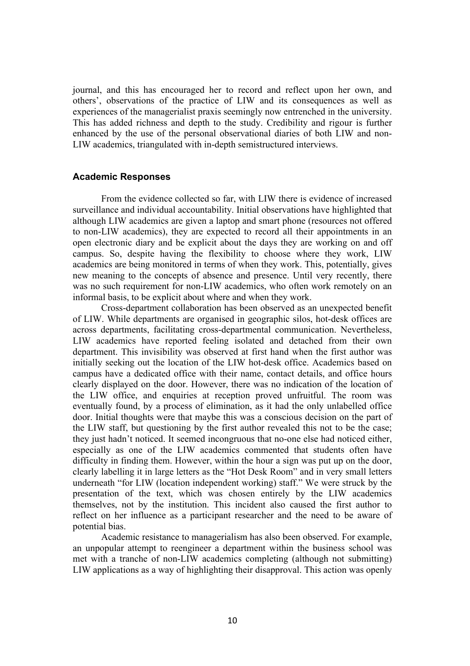journal, and this has encouraged her to record and reflect upon her own, and others', observations of the practice of LIW and its consequences as well as experiences of the managerialist praxis seemingly now entrenched in the university. This has added richness and depth to the study. Credibility and rigour is further enhanced by the use of the personal observational diaries of both LIW and non-LIW academics, triangulated with in-depth semistructured interviews.

#### **Academic Responses**

From the evidence collected so far, with LIW there is evidence of increased surveillance and individual accountability. Initial observations have highlighted that although LIW academics are given a laptop and smart phone (resources not offered to non-LIW academics), they are expected to record all their appointments in an open electronic diary and be explicit about the days they are working on and off campus. So, despite having the flexibility to choose where they work, LIW academics are being monitored in terms of when they work. This, potentially, gives new meaning to the concepts of absence and presence. Until very recently, there was no such requirement for non-LIW academics, who often work remotely on an informal basis, to be explicit about where and when they work.

Cross-department collaboration has been observed as an unexpected benefit of LIW. While departments are organised in geographic silos, hot-desk offices are across departments, facilitating cross-departmental communication. Nevertheless, LIW academics have reported feeling isolated and detached from their own department. This invisibility was observed at first hand when the first author was initially seeking out the location of the LIW hot-desk office. Academics based on campus have a dedicated office with their name, contact details, and office hours clearly displayed on the door. However, there was no indication of the location of the LIW office, and enquiries at reception proved unfruitful. The room was eventually found, by a process of elimination, as it had the only unlabelled office door. Initial thoughts were that maybe this was a conscious decision on the part of the LIW staff, but questioning by the first author revealed this not to be the case; they just hadn't noticed. It seemed incongruous that no-one else had noticed either, especially as one of the LIW academics commented that students often have difficulty in finding them. However, within the hour a sign was put up on the door, clearly labelling it in large letters as the "Hot Desk Room" and in very small letters underneath "for LIW (location independent working) staff." We were struck by the presentation of the text, which was chosen entirely by the LIW academics themselves, not by the institution. This incident also caused the first author to reflect on her influence as a participant researcher and the need to be aware of potential bias.

Academic resistance to managerialism has also been observed. For example, an unpopular attempt to reengineer a department within the business school was met with a tranche of non-LIW academics completing (although not submitting) LIW applications as a way of highlighting their disapproval. This action was openly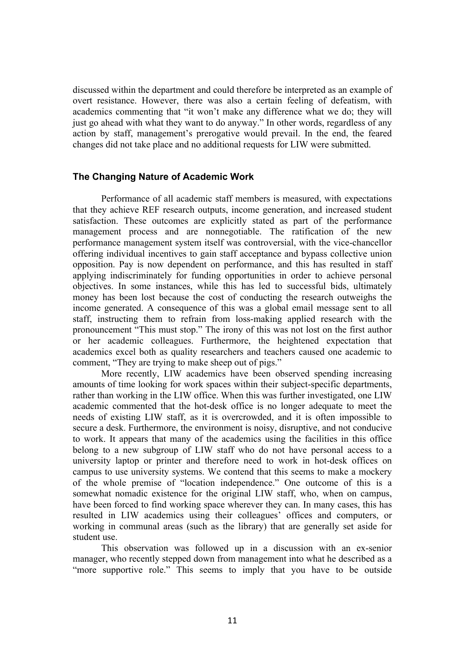discussed within the department and could therefore be interpreted as an example of overt resistance. However, there was also a certain feeling of defeatism, with academics commenting that "it won't make any difference what we do; they will just go ahead with what they want to do anyway." In other words, regardless of any action by staff, management's prerogative would prevail. In the end, the feared changes did not take place and no additional requests for LIW were submitted.

# **The Changing Nature of Academic Work**

Performance of all academic staff members is measured, with expectations that they achieve REF research outputs, income generation, and increased student satisfaction. These outcomes are explicitly stated as part of the performance management process and are nonnegotiable. The ratification of the new performance management system itself was controversial, with the vice-chancellor offering individual incentives to gain staff acceptance and bypass collective union opposition. Pay is now dependent on performance, and this has resulted in staff applying indiscriminately for funding opportunities in order to achieve personal objectives. In some instances, while this has led to successful bids, ultimately money has been lost because the cost of conducting the research outweighs the income generated. A consequence of this was a global email message sent to all staff, instructing them to refrain from loss-making applied research with the pronouncement "This must stop." The irony of this was not lost on the first author or her academic colleagues. Furthermore, the heightened expectation that academics excel both as quality researchers and teachers caused one academic to comment, "They are trying to make sheep out of pigs."

More recently, LIW academics have been observed spending increasing amounts of time looking for work spaces within their subject-specific departments, rather than working in the LIW office. When this was further investigated, one LIW academic commented that the hot-desk office is no longer adequate to meet the needs of existing LIW staff, as it is overcrowded, and it is often impossible to secure a desk. Furthermore, the environment is noisy, disruptive, and not conducive to work. It appears that many of the academics using the facilities in this office belong to a new subgroup of LIW staff who do not have personal access to a university laptop or printer and therefore need to work in hot-desk offices on campus to use university systems. We contend that this seems to make a mockery of the whole premise of "location independence." One outcome of this is a somewhat nomadic existence for the original LIW staff, who, when on campus, have been forced to find working space wherever they can. In many cases, this has resulted in LIW academics using their colleagues' offices and computers, or working in communal areas (such as the library) that are generally set aside for student use.

This observation was followed up in a discussion with an ex-senior manager, who recently stepped down from management into what he described as a "more supportive role." This seems to imply that you have to be outside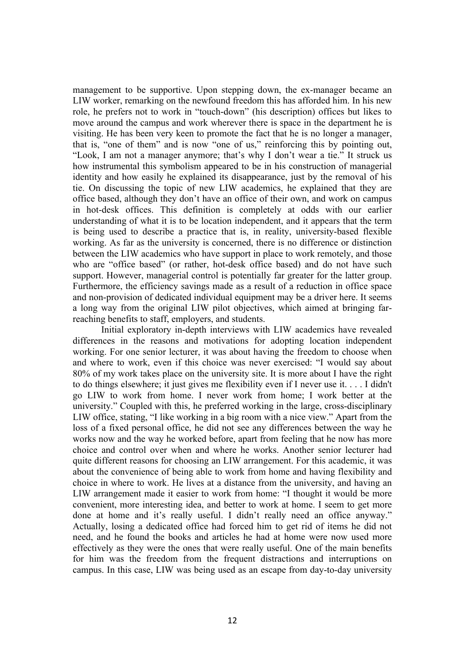management to be supportive. Upon stepping down, the ex-manager became an LIW worker, remarking on the newfound freedom this has afforded him. In his new role, he prefers not to work in "touch-down" (his description) offices but likes to move around the campus and work wherever there is space in the department he is visiting. He has been very keen to promote the fact that he is no longer a manager, that is, "one of them" and is now "one of us," reinforcing this by pointing out, "Look, I am not a manager anymore; that's why I don't wear a tie." It struck us how instrumental this symbolism appeared to be in his construction of managerial identity and how easily he explained its disappearance, just by the removal of his tie. On discussing the topic of new LIW academics, he explained that they are office based, although they don't have an office of their own, and work on campus in hot-desk offices. This definition is completely at odds with our earlier understanding of what it is to be location independent, and it appears that the term is being used to describe a practice that is, in reality, university-based flexible working. As far as the university is concerned, there is no difference or distinction between the LIW academics who have support in place to work remotely, and those who are "office based" (or rather, hot-desk office based) and do not have such support. However, managerial control is potentially far greater for the latter group. Furthermore, the efficiency savings made as a result of a reduction in office space and non-provision of dedicated individual equipment may be a driver here. It seems a long way from the original LIW pilot objectives, which aimed at bringing farreaching benefits to staff, employers, and students.

Initial exploratory in-depth interviews with LIW academics have revealed differences in the reasons and motivations for adopting location independent working. For one senior lecturer, it was about having the freedom to choose when and where to work, even if this choice was never exercised: "I would say about 80% of my work takes place on the university site. It is more about I have the right to do things elsewhere; it just gives me flexibility even if I never use it. . . . I didn't go LIW to work from home. I never work from home; I work better at the university." Coupled with this, he preferred working in the large, cross-disciplinary LIW office, stating, "I like working in a big room with a nice view." Apart from the loss of a fixed personal office, he did not see any differences between the way he works now and the way he worked before, apart from feeling that he now has more choice and control over when and where he works. Another senior lecturer had quite different reasons for choosing an LIW arrangement. For this academic, it was about the convenience of being able to work from home and having flexibility and choice in where to work. He lives at a distance from the university, and having an LIW arrangement made it easier to work from home: "I thought it would be more convenient, more interesting idea, and better to work at home. I seem to get more done at home and it's really useful. I didn't really need an office anyway." Actually, losing a dedicated office had forced him to get rid of items he did not need, and he found the books and articles he had at home were now used more effectively as they were the ones that were really useful. One of the main benefits for him was the freedom from the frequent distractions and interruptions on campus. In this case, LIW was being used as an escape from day-to-day university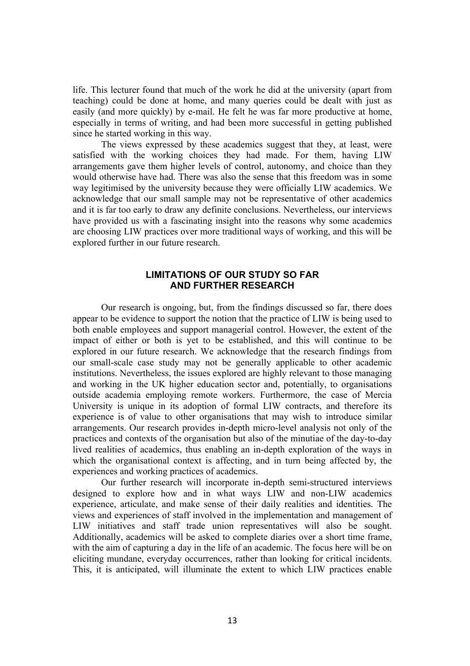life. This lecturer found that much of the work he did at the university (apart from teaching) could be done at home, and many queries could be dealt with just as easily (and more quickly) by e-mail. He felt he was far more productive at home, especially in terms of writing, and had been more successful in getting published since he started working in this way.

The views expressed by these academics suggest that they, at least, were satisfied with the working choices they had made. For them, having LIW arrangements gave them higher levels of control, autonomy, and choice than they would otherwise have had. There was also the sense that this freedom was in some way legitimised by the university because they were officially LIW academics. We acknowledge that our small sample may not be representative of other academics and it is far too early to draw any definite conclusions. Nevertheless, our interviews have provided us with a fascinating insight into the reasons why some academics are choosing LIW practices over more traditional ways of working, and this will be explored further in our future research.

# **LIMITATIONS OF OUR STUDY SO FAR AND FURTHER RESEARCH**

Our research is ongoing, but, from the findings discussed so far, there does appear to be evidence to support the notion that the practice of LIW is being used to both enable employees and support managerial control. However, the extent of the impact of either or both is yet to be established, and this will continue to be explored in our future research. We acknowledge that the research findings from our small-scale case study may not be generally applicable to other academic institutions. Nevertheless, the issues explored are highly relevant to those managing and working in the UK higher education sector and, potentially, to organisations outside academia employing remote workers. Furthermore, the case of Mercia University is unique in its adoption of formal LIW contracts, and therefore its experience is of value to other organisations that may wish to introduce similar arrangements. Our research provides in-depth micro-level analysis not only of the practices and contexts of the organisation but also of the minutiae of the day-to-day lived realities of academics, thus enabling an in-depth exploration of the ways in which the organisational context is affecting, and in turn being affected by, the experiences and working practices of academics.

Our further research will incorporate in-depth semi-structured interviews designed to explore how and in what ways LIW and non-LIW academics experience, articulate, and make sense of their daily realities and identities. The views and experiences of staff involved in the implementation and management of LIW initiatives and staff trade union representatives will also be sought. Additionally, academics will be asked to complete diaries over a short time frame, with the aim of capturing a day in the life of an academic. The focus here will be on eliciting mundane, everyday occurrences, rather than looking for critical incidents. This, it is anticipated, will illuminate the extent to which LIW practices enable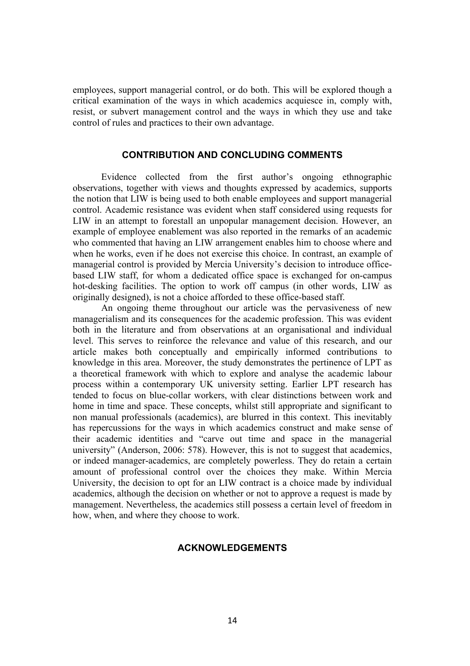employees, support managerial control, or do both. This will be explored though a critical examination of the ways in which academics acquiesce in, comply with, resist, or subvert management control and the ways in which they use and take control of rules and practices to their own advantage.

# **CONTRIBUTION AND CONCLUDING COMMENTS**

Evidence collected from the first author's ongoing ethnographic observations, together with views and thoughts expressed by academics, supports the notion that LIW is being used to both enable employees and support managerial control. Academic resistance was evident when staff considered using requests for LIW in an attempt to forestall an unpopular management decision. However, an example of employee enablement was also reported in the remarks of an academic who commented that having an LIW arrangement enables him to choose where and when he works, even if he does not exercise this choice. In contrast, an example of managerial control is provided by Mercia University's decision to introduce officebased LIW staff, for whom a dedicated office space is exchanged for on-campus hot-desking facilities. The option to work off campus (in other words, LIW as originally designed), is not a choice afforded to these office-based staff.

An ongoing theme throughout our article was the pervasiveness of new managerialism and its consequences for the academic profession. This was evident both in the literature and from observations at an organisational and individual level. This serves to reinforce the relevance and value of this research, and our article makes both conceptually and empirically informed contributions to knowledge in this area. Moreover, the study demonstrates the pertinence of LPT as a theoretical framework with which to explore and analyse the academic labour process within a contemporary UK university setting. Earlier LPT research has tended to focus on blue-collar workers, with clear distinctions between work and home in time and space. These concepts, whilst still appropriate and significant to non manual professionals (academics), are blurred in this context. This inevitably has repercussions for the ways in which academics construct and make sense of their academic identities and "carve out time and space in the managerial university" (Anderson, 2006: 578). However, this is not to suggest that academics, or indeed manager-academics, are completely powerless. They do retain a certain amount of professional control over the choices they make. Within Mercia University, the decision to opt for an LIW contract is a choice made by individual academics, although the decision on whether or not to approve a request is made by management. Nevertheless, the academics still possess a certain level of freedom in how, when, and where they choose to work.

#### **ACKNOWLEDGEMENTS**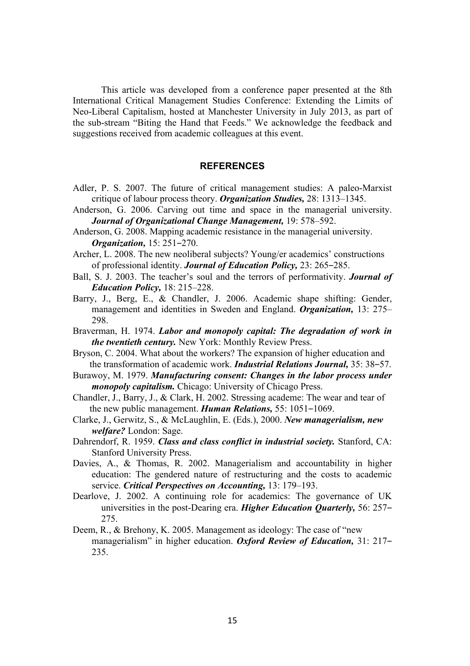This article was developed from a conference paper presented at the 8th International Critical Management Studies Conference: Extending the Limits of Neo-Liberal Capitalism, hosted at Manchester University in July 2013, as part of the sub-stream "Biting the Hand that Feeds." We acknowledge the feedback and suggestions received from academic colleagues at this event.

#### **REFERENCES**

- Adler, P. S. 2007. The future of critical management studies: A paleo-Marxist critique of labour process theory. *Organization Studies*, 28: 1313–1345.
- Anderson, G. 2006. Carving out time and space in the managerial university. *Journal of Organizational Change Management,* 19: 578–592.
- Anderson, G. 2008. Mapping academic resistance in the managerial university. *Organization,* 15: 251-270.
- Archer, L. 2008. The new neoliberal subjects? Young/er academics' constructions of professional identity. *Journal of Education Policy*, 23: 265–285.
- Ball, S. J. 2003. The teacher's soul and the terrors of performativity. *Journal of Education Policy, 18: 215-228.*
- Barry, J., Berg, E., & Chandler, J. 2006. Academic shape shifting: Gender, management and identities in Sweden and England. *Organization,* 13: 275– 298.
- Braverman, H. 1974. *Labor and monopoly capital: The degradation of work in the twentieth century.* New York: Monthly Review Press.
- Bryson, C. 2004. What about the workers? The expansion of higher education and the transformation of academic work. *Industrial Relations Journal*, 35: 38–57.
- Burawoy, M. 1979. *Manufacturing consent: Changes in the labor process under monopoly capitalism.* Chicago: University of Chicago Press.
- Chandler, J., Barry, J., & Clark, H. 2002. Stressing academe: The wear and tear of the new public management. *Human Relations*, 55: 1051-1069.
- Clarke, J., Gerwitz, S., & McLaughlin, E. (Eds.), 2000. *New managerialism, new welfare?* London: Sage.
- Dahrendorf, R. 1959. *Class and class conflict in industrial society.* Stanford, CA: Stanford University Press.
- Davies, A., & Thomas, R. 2002. Managerialism and accountability in higher education: The gendered nature of restructuring and the costs to academic service. *Critical Perspectives on Accounting*, 13: 179–193.
- Dearlove, J. 2002. A continuing role for academics: The governance of UK universities in the post-Dearing era. *Higher Education Quarterly*, 56: 257– 275.
- Deem, R., & Brehony, K. 2005. Management as ideology: The case of "new managerialism" in higher education. *Oxford Review of Education*, 31: 217– 235.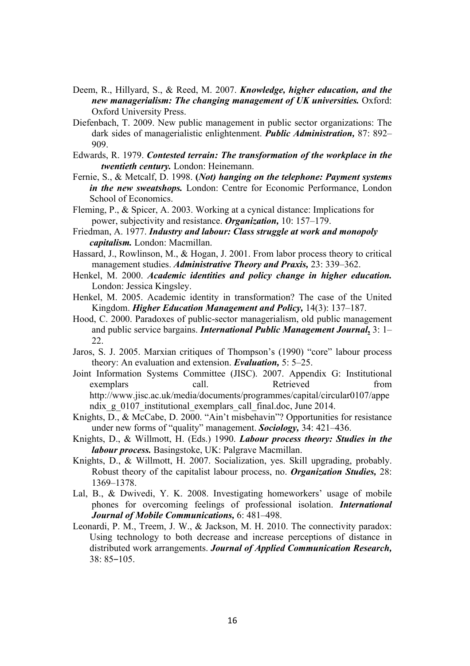- Deem, R., Hillyard, S., & Reed, M. 2007. *Knowledge, higher education, and the new managerialism: The changing management of UK universities.* Oxford: Oxford University Press.
- Diefenbach, T. 2009. New public management in public sector organizations: The dark sides of managerialistic enlightenment. *Public Administration*, 87: 892– 909.
- Edwards, R. 1979. *Contested terrain: The transformation of the workplace in the twentieth century.* London: Heinemann.
- Fernie, S., & Metcalf, D. 1998. **(***Not) hanging on the telephone: Payment systems in the new sweatshops.* London: Centre for Economic Performance, London School of Economics.
- Fleming, P., & Spicer, A. 2003. Working at a cynical distance: Implications for power, subjectivity and resistance. *Organization,* 10: 157–179.
- Friedman, A. 1977. *Industry and labour: Class struggle at work and monopoly capitalism.* London: Macmillan.
- Hassard, J., Rowlinson, M., & Hogan, J. 2001. From labor process theory to critical management studies. *Administrative Theory and Praxis*, 23: 339–362.
- Henkel, M. 2000. *Academic identities and policy change in higher education.*  London: Jessica Kingsley.
- Henkel, M. 2005. Academic identity in transformation? The case of the United Kingdom. *Higher Education Management and Policy,* 14(3): 137–187.
- Hood, C. 2000. Paradoxes of public-sector managerialism, old public management and public service bargains. *International Public Management Journal*, 3: 1– 22.
- Jaros, S. J. 2005. Marxian critiques of Thompson's (1990) "core" labour process theory: An evaluation and extension. *Evaluation,* 5: 5‒25.
- Joint Information Systems Committee (JISC). 2007. Appendix G: Institutional exemplars call. Retrieved http://www.jisc.ac.uk/media/documents/programmes/capital/circular0107/appe ndix g 0107 institutional exemplars call final.doc, June 2014.
- Knights, D., & McCabe, D. 2000. "Ain't misbehavin"? Opportunities for resistance under new forms of "quality" management. *Sociology*, 34: 421–436.
- Knights, D., & Willmott, H. (Eds.) 1990. *Labour process theory: Studies in the labour process.* Basingstoke, UK: Palgrave Macmillan.
- Knights, D., & Willmott, H. 2007. Socialization, yes. Skill upgrading, probably. Robust theory of the capitalist labour process, no. *Organization Studies,* 28: 1369‒1378.
- Lal, B., & Dwivedi, Y. K. 2008. Investigating homeworkers' usage of mobile phones for overcoming feelings of professional isolation. *International Journal of Mobile Communications, 6: 481-498.*
- Leonardi, P. M., Treem, J. W., & Jackson, M. H. 2010. The connectivity paradox: Using technology to both decrease and increase perceptions of distance in distributed work arrangements. *Journal of Applied Communication Research,*  $38 \cdot 85 - 105$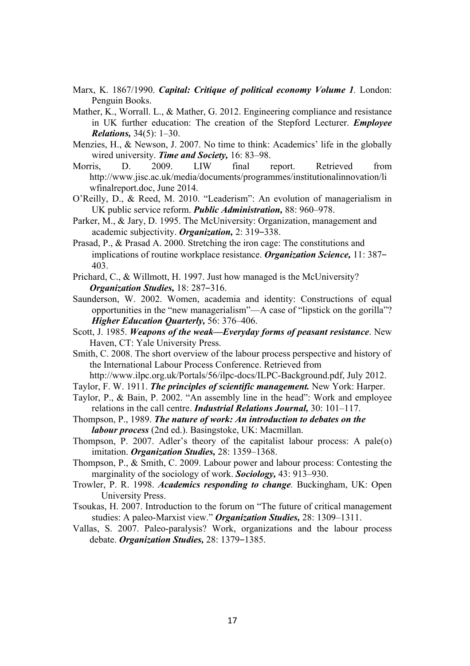- Marx, K. 1867/1990. *Capital: Critique of political economy Volume 1.* London: Penguin Books.
- Mather, K., Worrall. L., & Mather, G. 2012. Engineering compliance and resistance in UK further education: The creation of the Stepford Lecturer. *Employee Relations,* 34(5): 1‒30.
- Menzies, H., & Newson, J. 2007. No time to think: Academics' life in the globally wired university. *Time and Society,* 16: 83–98.
- Morris, D. 2009. LIW final report. Retrieved from http://www.jisc.ac.uk/media/documents/programmes/institutionalinnovation/li wfinalreport.doc, June 2014.
- O'Reilly, D., & Reed, M. 2010. "Leaderism": An evolution of managerialism in UK public service reform. *Public Administration*, 88: 960–978.
- Parker, M., & Jary, D. 1995. The McUniversity: Organization, management and academic subjectivity. *Organization*, 2: 319-338.
- Prasad, P., & Prasad A. 2000. Stretching the iron cage: The constitutions and implications of routine workplace resistance. *Organization Science*, 11: 387– 403.
- Prichard, C., & Willmott, H. 1997. Just how managed is the McUniversity? **Organization Studies,** 18: 287-316.
- Saunderson, W. 2002. Women, academia and identity: Constructions of equal opportunities in the "new managerialism"—A case of "lipstick on the gorilla"? *Higher Education Quarterly,* 56: 376–406.
- Scott, J. 1985. *Weapons of the weak—Everyday forms of peasant resistance*. New Haven, CT: Yale University Press.
- Smith, C. 2008. The short overview of the labour process perspective and history of the International Labour Process Conference. Retrieved from http://www.ilpc.org.uk/Portals/56/ilpc-docs/ILPC-Background.pdf, July 2012.
- Taylor, F. W. 1911. *The principles of scientific management.* New York: Harper.
- Taylor, P., & Bain, P. 2002. "An assembly line in the head": Work and employee relations in the call centre. *Industrial Relations Journal,* 30: 101–117.
- Thompson, P., 1989. *The nature of work: An introduction to debates on the labour process* (2nd ed.). Basingstoke, UK: Macmillan.
- Thompson, P. 2007. Adler's theory of the capitalist labour process: A pale(o) imitation. *Organization Studies*, 28: 1359–1368.
- Thompson, P., & Smith, C. 2009. Labour power and labour process: Contesting the marginality of the sociology of work. *Sociology*, 43: 913–930.
- Trowler, P. R. 1998. *Academics responding to change.* Buckingham, UK: Open University Press.
- Tsoukas, H. 2007. Introduction to the forum on "The future of critical management studies: A paleo-Marxist view." *Organization Studies,* 28: 1309–1311.
- Vallas, S. 2007. Paleo-paralysis? Work, organizations and the labour process debate. *Organization Studies*, 28: 1379-1385.